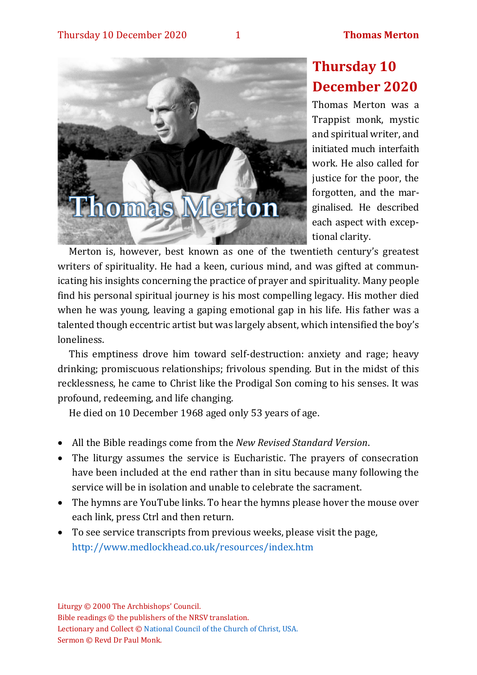

## **Thursday 10 December 2020**

Thomas Merton was a Trappist monk, mystic and spiritual writer, and initiated much interfaith work. He also called for justice for the poor, the forgotten, and the marginalised. He described each aspect with exceptional clarity.

Merton is, however, best known as one of the twentieth century's greatest writers of spirituality. He had a keen, curious mind, and was gifted at communicating his insights concerning the practice of prayer and spirituality. Many people find his personal spiritual journey is his most compelling legacy. His mother died when he was young, leaving a gaping emotional gap in his life. His father was a talented though eccentric artist but was largely absent, which intensified the boy's loneliness.

This emptiness drove him toward self-destruction: anxiety and rage; heavy drinking; promiscuous relationships; frivolous spending. But in the midst of this recklessness, he came to Christ like the Prodigal Son coming to his senses. It was profound, redeeming, and life changing.

He died on 10 December 1968 aged only 53 years of age.

- All the Bible readings come from the *New Revised Standard Version*.
- The liturgy assumes the service is Eucharistic. The prayers of consecration have been included at the end rather than in situ because many following the service will be in isolation and unable to celebrate the sacrament.
- The hymns are YouTube links. To hear the hymns please hover the mouse over each link, press Ctrl and then return.
- To see service transcripts from previous weeks, please visit the page, <http://www.medlockhead.co.uk/resources/index.htm>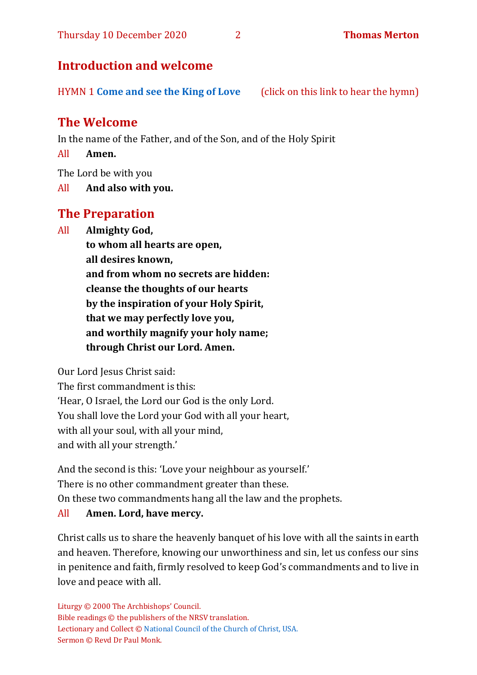## **Introduction and welcome**

HYMN 1 **[Come and see the King of Love](https://www.youtube.com/watch?v=Vz9rgVEm2WY)** (click on this link to hear the hymn)

## **The Welcome**

In the name of the Father, and of the Son, and of the Holy Spirit

All **Amen.**

The Lord be with you

All **And also with you.**

## **The Preparation**

All **Almighty God,**

**to whom all hearts are open, all desires known, and from whom no secrets are hidden: cleanse the thoughts of our hearts by the inspiration of your Holy Spirit, that we may perfectly love you, and worthily magnify your holy name; through Christ our Lord. Amen.**

Our Lord Jesus Christ said:

The first commandment is this: 'Hear, O Israel, the Lord our God is the only Lord. You shall love the Lord your God with all your heart, with all your soul, with all your mind, and with all your strength.'

And the second is this: 'Love your neighbour as yourself.' There is no other commandment greater than these. On these two commandments hang all the law and the prophets.

## All **Amen. Lord, have mercy.**

Christ calls us to share the heavenly banquet of his love with all the saints in earth and heaven. Therefore, knowing our unworthiness and sin, let us confess our sins in penitence and faith, firmly resolved to keep God's commandments and to live in love and peace with all.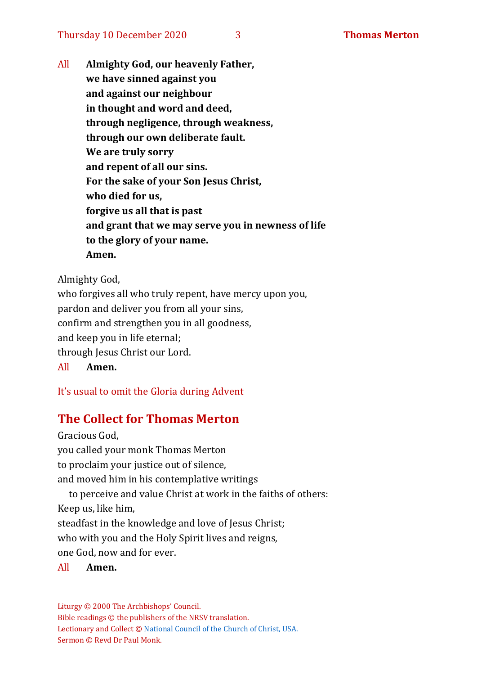All **Almighty God, our heavenly Father, we have sinned against you and against our neighbour in thought and word and deed, through negligence, through weakness, through our own deliberate fault. We are truly sorry and repent of all our sins. For the sake of your Son Jesus Christ, who died for us, forgive us all that is past and grant that we may serve you in newness of life to the glory of your name. Amen.**

Almighty God,

who forgives all who truly repent, have mercy upon you, pardon and deliver you from all your sins, confirm and strengthen you in all goodness, and keep you in life eternal; through Jesus Christ our Lord. All **Amen.**

It's usual to omit the Gloria during Advent

## **The Collect for Thomas Merton**

Gracious God, you called your monk Thomas Merton to proclaim your justice out of silence, and moved him in his contemplative writings to perceive and value Christ at work in the faiths of others: Keep us, like him, steadfast in the knowledge and love of Jesus Christ: who with you and the Holy Spirit lives and reigns,

one God, now and for ever.

#### All **Amen.**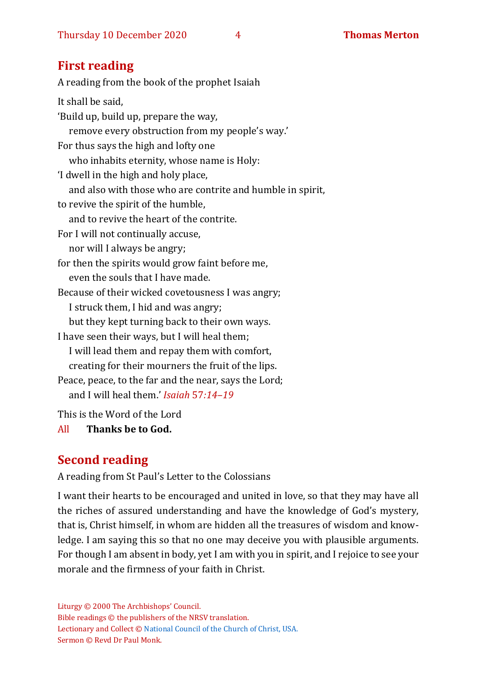## **First reading**

A reading from the book of the prophet Isaiah It shall be said, 'Build up, build up, prepare the way, remove every obstruction from my people's way.' For thus says the high and lofty one who inhabits eternity, whose name is Holy: 'I dwell in the high and holy place, and also with those who are contrite and humble in spirit, to revive the spirit of the humble, and to revive the heart of the contrite. For I will not continually accuse, nor will I always be angry; for then the spirits would grow faint before me, even the souls that I have made. Because of their wicked covetousness I was angry; I struck them, I hid and was angry; but they kept turning back to their own ways. I have seen their ways, but I will heal them; I will lead them and repay them with comfort, creating for their mourners the fruit of the lips. Peace, peace, to the far and the near, says the Lord; and I will heal them.' *Isaiah* 57*:14–19*

This is the Word of the Lord

All **Thanks be to God.**

## **Second reading**

A reading from St Paul's Letter to the Colossians

I want their hearts to be encouraged and united in love, so that they may have all the riches of assured understanding and have the knowledge of God's mystery, that is, Christ himself, in whom are hidden all the treasures of wisdom and knowledge. I am saying this so that no one may deceive you with plausible arguments. For though I am absent in body, yet I am with you in spirit, and I rejoice to see your morale and the firmness of your faith in Christ.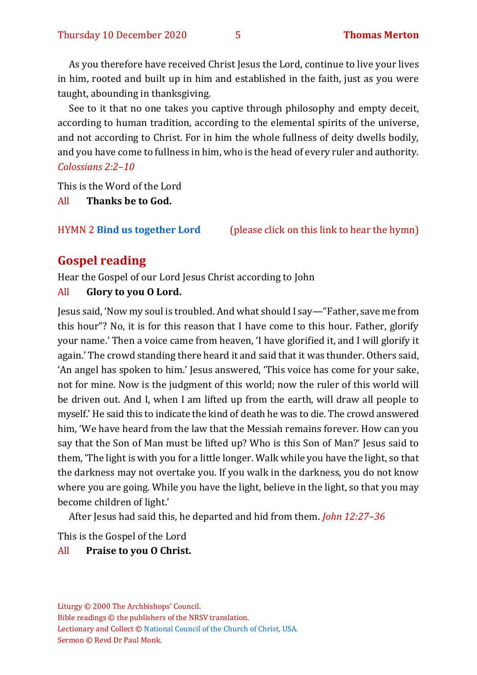As you therefore have received Christ Jesus the Lord, continue to live your lives in him, rooted and built up in him and established in the faith, just as you were taught, abounding in thanksgiving.

See to it that no one takes you captive through philosophy and empty deceit, according to human tradition, according to the elemental spirits of the universe, and not according to Christ. For in him the whole fullness of deity dwells bodily, and you have come to fullness in him, who is the head of every ruler and authority. *Colossians 2:2–10*

This is the Word of the Lord

All **Thanks be to God.**

HYMN 2 **[Bind us together Lord](https://www.youtube.com/watch?v=DSwDUr_TJ70)** (please click on this link to hear the hymn)

## **Gospel reading**

Hear the Gospel of our Lord Jesus Christ according to John

#### All **Glory to you O Lord.**

Jesus said, 'Now my soul is troubled. And what should I say—"Father, save me from this hour"? No, it is for this reason that I have come to this hour. Father, glorify your name.' Then a voice came from heaven, 'I have glorified it, and I will glorify it again.' The crowd standing there heard it and said that it was thunder. Others said, 'An angel has spoken to him.' Jesus answered, 'This voice has come for your sake, not for mine. Now is the judgment of this world; now the ruler of this world will be driven out. And I, when I am lifted up from the earth, will draw all people to myself.' He said this to indicate the kind of death he was to die. The crowd answered him, 'We have heard from the law that the Messiah remains forever. How can you say that the Son of Man must be lifted up? Who is this Son of Man?' Jesus said to them, 'The light is with you for a little longer. Walk while you have the light, so that the darkness may not overtake you. If you walk in the darkness, you do not know where you are going. While you have the light, believe in the light, so that you may become children of light.'

After Jesus had said this, he departed and hid from them. *John 12:27–36*

This is the Gospel of the Lord

#### All **Praise to you O Christ.**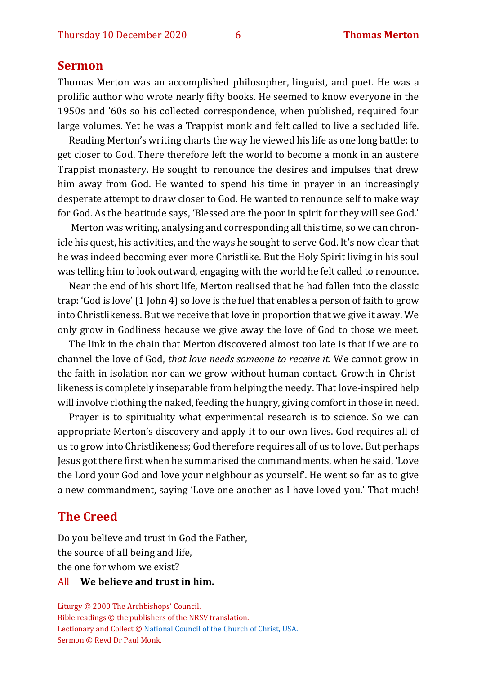#### **Sermon**

Thomas Merton was an accomplished philosopher, linguist, and poet. He was a prolific author who wrote nearly fifty books. He seemed to know everyone in the 1950s and '60s so his collected correspondence, when published, required four large volumes. Yet he was a Trappist monk and felt called to live a secluded life.

Reading Merton's writing charts the way he viewed his life as one long battle: to get closer to God. There therefore left the world to become a monk in an austere Trappist monastery. He sought to renounce the desires and impulses that drew him away from God. He wanted to spend his time in prayer in an increasingly desperate attempt to draw closer to God. He wanted to renounce self to make way for God. As the beatitude says, 'Blessed are the poor in spirit for they will see God.'

Merton was writing, analysing and corresponding all this time, so we can chronicle his quest, his activities, and the ways he sought to serve God. It's now clear that he was indeed becoming ever more Christlike. But the Holy Spirit living in his soul was telling him to look outward, engaging with the world he felt called to renounce.

Near the end of his short life, Merton realised that he had fallen into the classic trap: 'God is love' (1 John 4) so love is the fuel that enables a person of faith to grow into Christlikeness. But we receive that love in proportion that we give it away. We only grow in Godliness because we give away the love of God to those we meet.

The link in the chain that Merton discovered almost too late is that if we are to channel the love of God, *that love needs someone to receive it.* We cannot grow in the faith in isolation nor can we grow without human contact. Growth in Christlikeness is completely inseparable from helping the needy. That love-inspired help will involve clothing the naked, feeding the hungry, giving comfort in those in need.

Prayer is to spirituality what experimental research is to science. So we can appropriate Merton's discovery and apply it to our own lives. God requires all of us to grow into Christlikeness; God therefore requires all of us to love. But perhaps Jesus got there first when he summarised the commandments, when he said, 'Love the Lord your God and love your neighbour as yourself'. He went so far as to give a new commandment, saying 'Love one another as I have loved you.' That much!

## **The Creed**

Do you believe and trust in God the Father, the source of all being and life, the one for whom we exist?

#### All **We believe and trust in him.**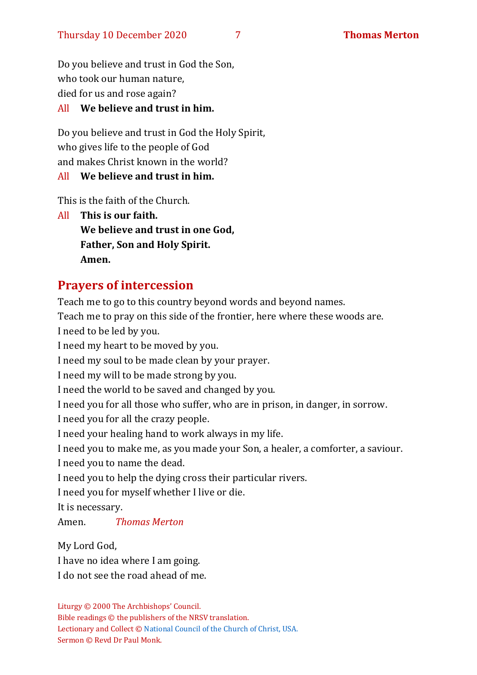Do you believe and trust in God the Son, who took our human nature, died for us and rose again?

### All **We believe and trust in him.**

Do you believe and trust in God the Holy Spirit, who gives life to the people of God and makes Christ known in the world?

## All **We believe and trust in him.**

This is the faith of the Church.

All **This is our faith. We believe and trust in one God, Father, Son and Holy Spirit. Amen.**

## **Prayers of intercession**

Teach me to go to this country beyond words and beyond names. Teach me to pray on this side of the frontier, here where these woods are. I need to be led by you. I need my heart to be moved by you. I need my soul to be made clean by your prayer. I need my will to be made strong by you. I need the world to be saved and changed by you. I need you for all those who suffer, who are in prison, in danger, in sorrow. I need you for all the crazy people. I need your healing hand to work always in my life. I need you to make me, as you made your Son, a healer, a comforter, a saviour. I need you to name the dead. I need you to help the dying cross their particular rivers. I need you for myself whether I live or die. It is necessary. Amen. *Thomas Merton*  My Lord God,

I have no idea where I am going. I do not see the road ahead of me.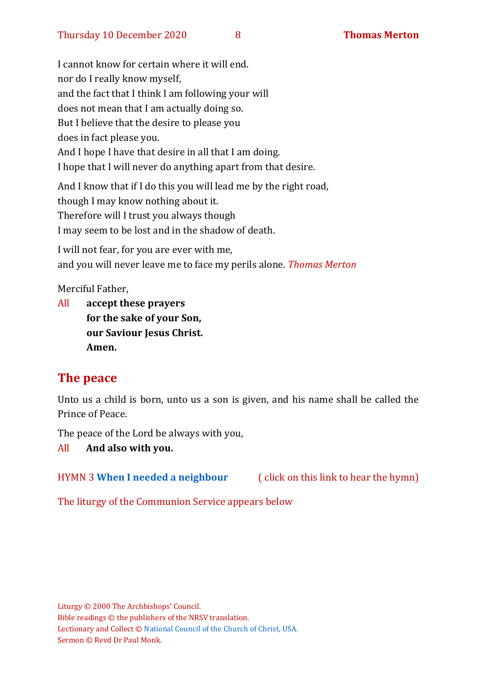I cannot know for certain where it will end. nor do I really know myself, and the fact that I think I am following your will does not mean that I am actually doing so. But I believe that the desire to please you does in fact please you. And I hope I have that desire in all that I am doing. I hope that I will never do anything apart from that desire.

And I know that if I do this you will lead me by the right road, though I may know nothing about it. Therefore will I trust you always though I may seem to be lost and in the shadow of death.

I will not fear, for you are ever with me, and you will never leave me to face my perils alone. *Thomas Merton*

Merciful Father,

All **accept these prayers for the sake of your Son, our Saviour Jesus Christ. Amen.**

## **The peace**

Unto us a child is born, unto us a son is given, and his name shall be called the Prince of Peace.

The peace of the Lord be always with you,

#### All **And also with you.**

HYMN 3 **[When I needed a neighbour](https://www.youtube.com/watch?v=fExR7eOhJO0)** ( click on this link to hear the hymn)

The liturgy of the Communion Service appears below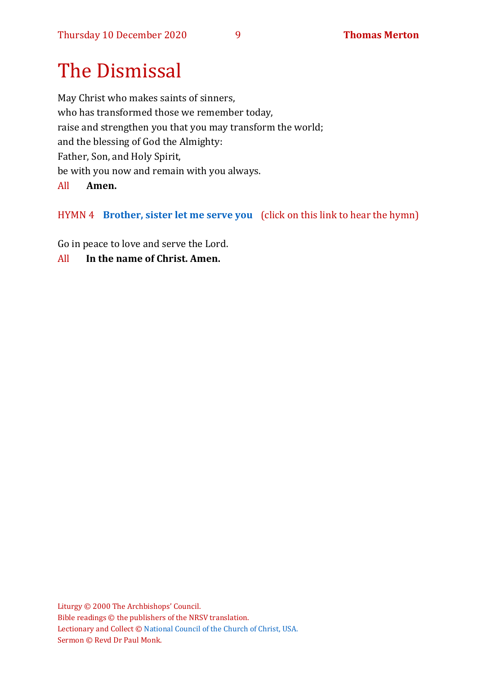# The Dismissal

May Christ who makes saints of sinners, who has transformed those we remember today, raise and strengthen you that you may transform the world; and the blessing of God the Almighty: Father, Son, and Holy Spirit, be with you now and remain with you always.

#### All **Amen.**

## HYMN 4 **[Brother, sister let me serve you](https://www.youtube.com/watch?v=hlNoxoOocZs)** (click on this link to hear the hymn)

Go in peace to love and serve the Lord.

All **In the name of Christ. Amen.**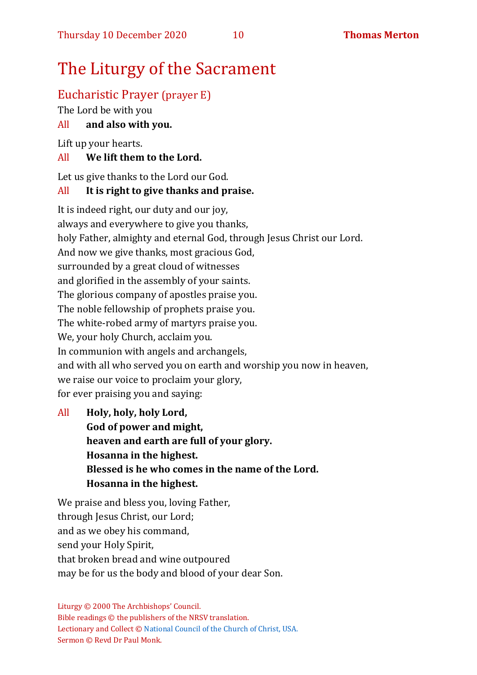# The Liturgy of the Sacrament

## Eucharistic Prayer (prayer E)

The Lord be with you

## All **and also with you.**

Lift up your hearts.

## All **We lift them to the Lord.**

Let us give thanks to the Lord our God.

## All **It is right to give thanks and praise.**

It is indeed right, our duty and our joy, always and everywhere to give you thanks, holy Father, almighty and eternal God, through Jesus Christ our Lord. And now we give thanks, most gracious God, surrounded by a great cloud of witnesses and glorified in the assembly of your saints. The glorious company of apostles praise you. The noble fellowship of prophets praise you. The white-robed army of martyrs praise you. We, your holy Church, acclaim you. In communion with angels and archangels, and with all who served you on earth and worship you now in heaven, we raise our voice to proclaim your glory, for ever praising you and saying:

All **Holy, holy, holy Lord, God of power and might, heaven and earth are full of your glory. Hosanna in the highest. Blessed is he who comes in the name of the Lord. Hosanna in the highest.**

We praise and bless you, loving Father, through Jesus Christ, our Lord; and as we obey his command, send your Holy Spirit, that broken bread and wine outpoured may be for us the body and blood of your dear Son.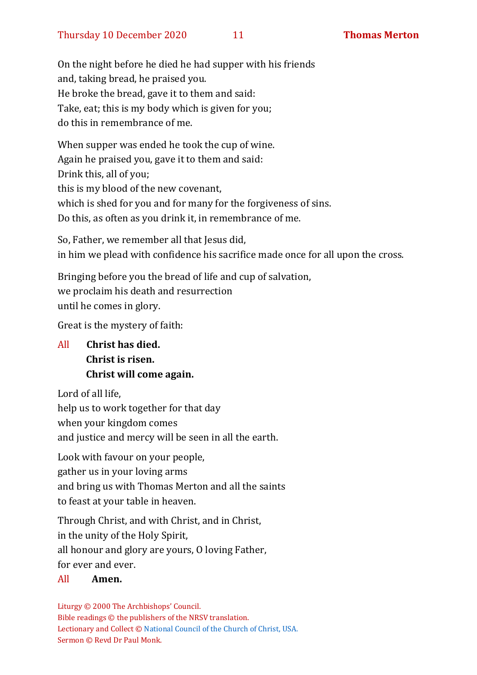On the night before he died he had supper with his friends and, taking bread, he praised you. He broke the bread, gave it to them and said: Take, eat; this is my body which is given for you; do this in remembrance of me.

When supper was ended he took the cup of wine. Again he praised you, gave it to them and said: Drink this, all of you; this is my blood of the new covenant, which is shed for you and for many for the forgiveness of sins. Do this, as often as you drink it, in remembrance of me.

So, Father, we remember all that Jesus did, in him we plead with confidence his sacrifice made once for all upon the cross.

Bringing before you the bread of life and cup of salvation, we proclaim his death and resurrection until he comes in glory.

Great is the mystery of faith:

All **Christ has died. Christ is risen. Christ will come again.**

Lord of all life,

help us to work together for that day

when your kingdom comes

and justice and mercy will be seen in all the earth.

Look with favour on your people, gather us in your loving arms and bring us with Thomas Merton and all the saints to feast at your table in heaven.

Through Christ, and with Christ, and in Christ, in the unity of the Holy Spirit, all honour and glory are yours, O loving Father, for ever and ever.

#### All **Amen.**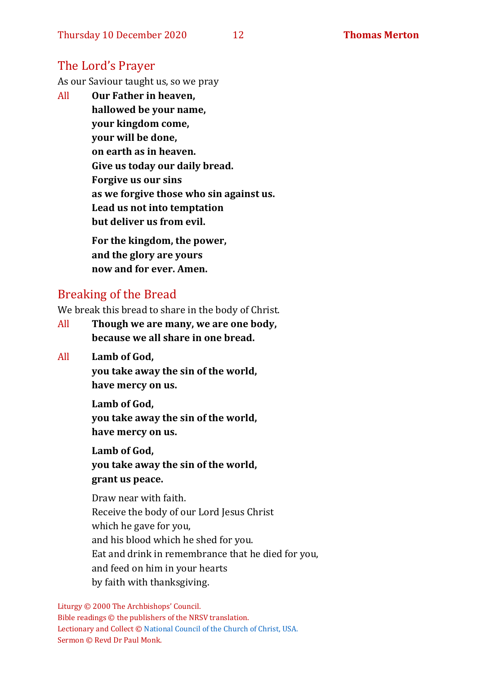## The Lord's Prayer

As our Saviour taught us, so we pray

All **Our Father in heaven, hallowed be your name, your kingdom come, your will be done, on earth as in heaven. Give us today our daily bread. Forgive us our sins as we forgive those who sin against us. Lead us not into temptation but deliver us from evil. For the kingdom, the power, and the glory are yours**

## Breaking of the Bread

**now and for ever. Amen.**

We break this bread to share in the body of Christ.

- All **Though we are many, we are one body, because we all share in one bread.**
- All **Lamb of God,**

**you take away the sin of the world, have mercy on us.**

**Lamb of God, you take away the sin of the world, have mercy on us.**

**Lamb of God, you take away the sin of the world, grant us peace.**

Draw near with faith. Receive the body of our Lord Jesus Christ which he gave for you, and his blood which he shed for you. Eat and drink in remembrance that he died for you, and feed on him in your hearts by faith with thanksgiving.